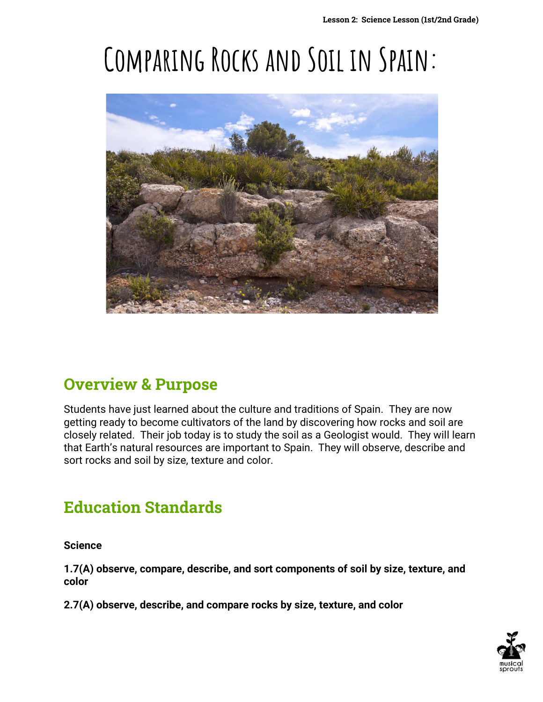# **Comparing Rocks and Soil in Spain:**



#### **Overview & Purpose**

Students have just learned about the culture and traditions of Spain. They are now getting ready to become cultivators of the land by discovering how rocks and soil are closely related. Their job today is to study the soil as a Geologist would. They will learn that Earth's natural resources are important to Spain. They will observe, describe and sort rocks and soil by size, texture and color.

### **Education Standards**

**Science**

**1.7(A) observe, compare, describe, and sort components of soil by size, texture, and color**

**2.7(A) observe, describe, and compare rocks by size, texture, and color** 

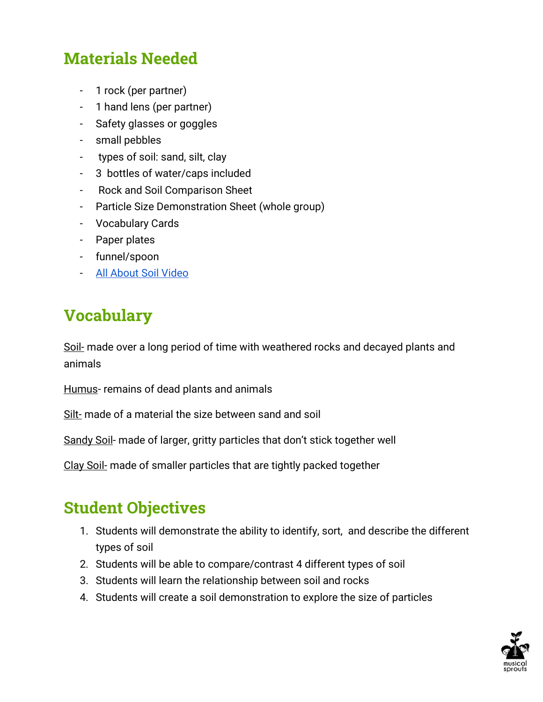### **Materials Needed**

- 1 rock (per partner)
- 1 hand lens (per partner)
- Safety glasses or goggles
- small pebbles
- types of soil: sand, silt, clay
- 3 bottles of water/caps included
- Rock and Soil Comparison Sheet
- Particle Size Demonstration Sheet (whole group)
- Vocabulary Cards
- Paper plates
- funnel/spoon
- [All About Soil Video](https://youtu.be/I3A7OnTLSM8?list=LLVvVo6777lYoRGBL9vksdVw)

#### **Vocabulary**

Soil- made over a long period of time with weathered rocks and decayed plants and animals

Humus- remains of dead plants and animals

Silt- made of a material the size between sand and soil

Sandy Soil- made of larger, gritty particles that don't stick together well

Clay Soil- made of smaller particles that are tightly packed together

### **Student Objectives**

- 1. Students will demonstrate the ability to identify, sort, and describe the different types of soil
- 2. Students will be able to compare/contrast 4 different types of soil
- 3. Students will learn the relationship between soil and rocks
- 4. Students will create a soil demonstration to explore the size of particles